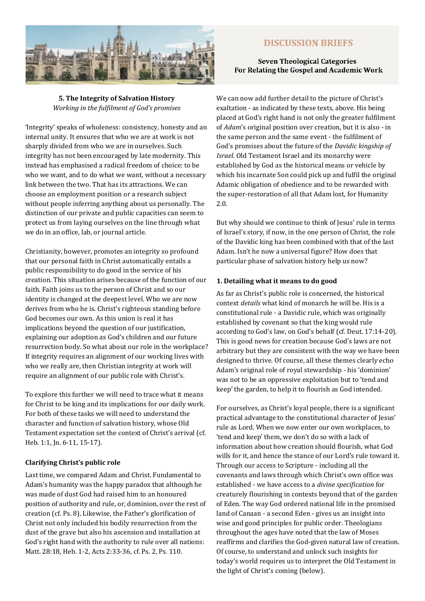

# **DISCUSSION BRIEFS**

### **Seven Theological Categories** For Relating the Gospel and Academic Work

**5. The Integrity of Salvation History** *Working in the fulfilment of God's promises* 

'Integrity' speaks of wholeness: consistency, honesty and an internal unity. It ensures that who we are at work is not sharply divided from who we are in ourselves. Such integrity has not been encouraged by late modernity. This instead has emphasised a radical freedom of choice: to be who we want, and to do what we want, without a necessary link between the two. That has its attractions. We can choose an employment position or a research subject without people inferring anything about us personally. The distinction of our private and public capacities can seem to protect us from laying ourselves on the line through what we do in an office, lab, or journal article.

Christianity, however, promotes an integrity so profound that our personal faith in Christ automatically entails a public responsibility to do good in the service of his creation. This situation arises because of the function of our faith. Faith joins us to the person of Christ and so our identity is changed at the deepest level. Who we are now derives from who he is. Christ's righteous standing before God becomes our own. As this union is real it has implications beyond the question of our justification, explaining our adoption as God's children and our future resurrection body. So what about our role in the workplace? If integrity requires an alignment of our working lives with who we really are, then Christian integrity at work will require an alignment of our public role with Christ's.

To explore this further we will need to trace what it means for Christ to be king and its implications for our daily work. For both of these tasks we will need to understand the character and function of salvation history, whose Old Testament expectation set the context of Christ's arrival (cf. Heb. 1:1, Jn. 6-11, 15-17).

### **Clarifying Christ's public role**

Last time, we compared Adam and Christ. Fundamental to Adam's humanity was the happy paradox that although he was made of dust God had raised him to an honoured position of authority and rule, or, dominion, over the rest of creation (cf. Ps. 8). Likewise, the Father's glorification of Christ not only included his bodily resurrection from the dust of the grave but also his ascension and installation at God's right hand with the authority to rule over all nations: Matt. 28:18, Heb. 1-2, Acts 2:33-36, cf. Ps. 2, Ps. 110.

We can now add further detail to the picture of Christ's exaltation - as indicated by these texts, above. His being placed at God's right hand is not only the greater fulfilment of *Adam*'s original position over creation, but it is also - in the same person and the same event - the fulfilment of God's promises about the future of the *Davidic kingship of Israel*. Old Testament Israel and its monarchy were established by God as the historical means or vehicle by which his incarnate Son could pick up and fulfil the original Adamic obligation of obedience and to be rewarded with the super-restoration of all that Adam lost, for Humanity 2.0.

But why should we continue to think of Jesus' rule in terms of Israel's story, if now, in the one person of Christ, the role of the Davidic king has been combined with that of the last Adam. Isn't he now a universal figure? How does that particular phase of salvation history help us now?

## **1. Detailing what it means to do good**

As far as Christ's public role is concerned, the historical context *details* what kind of monarch he will be. His is a constitutional rule - a Davidic rule, which was originally established by covenant so that the king would rule according to God's law, on God's behalf (cf. Deut. 17:14-20). This is good news for creation because God's laws are not arbitrary but they are consistent with the way we have been designed to thrive. Of course, all these themes clearly echo Adam's original role of royal stewardship - his 'dominion' was not to be an oppressive exploitation but to 'tend and keep' the garden, to help it to flourish as God intended.

For ourselves, as Christ's loyal people, there is a significant practical advantage to the constitutional character of Jesus' rule as Lord. When we now enter our own workplaces, to 'tend and keep' them, we don't do so with a lack of information about how creation should flourish, what God wills for it, and hence the stance of our Lord's rule toward it. Through our access to Scripture - including all the covenants and laws through which Christ's own office was established - we have access to a *divine specification* for creaturely flourishing in contexts beyond that of the garden of Eden. The way God ordered national life in the promised land of Canaan - a second Eden - gives us an insight into wise and good principles for public order. Theologians throughout the ages have noted that the law of Moses reaffirms and clarifies the God-given natural law of creation. Of course, to understand and unlock such insights for today's world requires us to interpret the Old Testament in the light of Christ's coming (below).